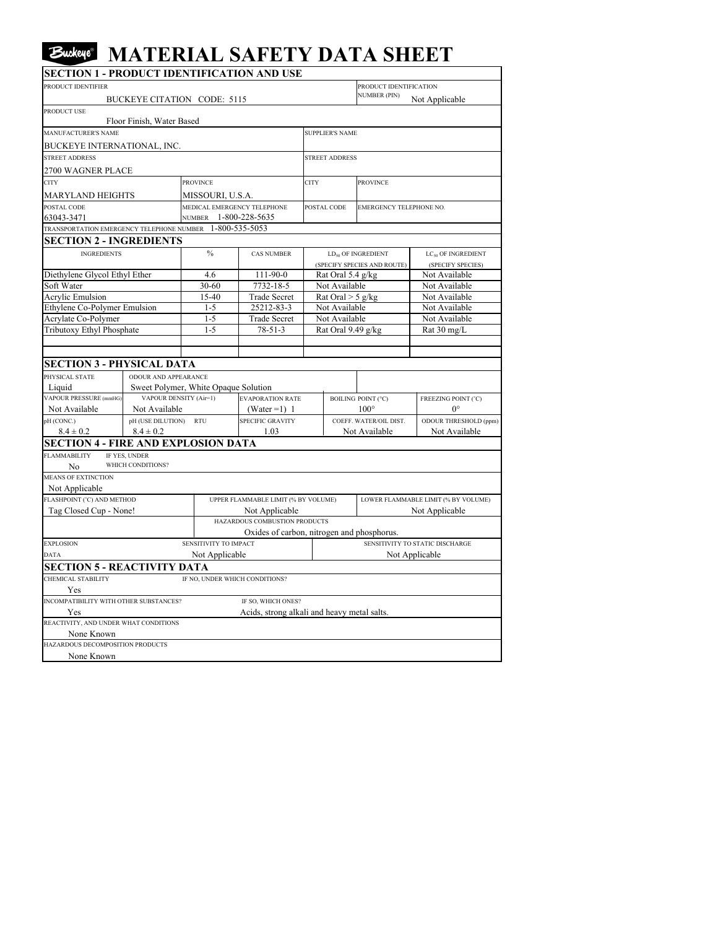## **Euckeye** MATERIAL SAFETY DATA SHEET

| PRODUCT IDENTIFIER                                       |                                      |                             |                                             | PRODUCT IDENTIFICATION     |                                     |                                            |                                |  |  |
|----------------------------------------------------------|--------------------------------------|-----------------------------|---------------------------------------------|----------------------------|-------------------------------------|--------------------------------------------|--------------------------------|--|--|
|                                                          | BUCKEYE CITATION CODE: 5115          |                             |                                             | <b>NUMBER (PIN)</b>        | Not Applicable                      |                                            |                                |  |  |
| PRODUCT USE                                              |                                      |                             |                                             |                            |                                     |                                            |                                |  |  |
|                                                          | Floor Finish, Water Based            |                             |                                             |                            |                                     |                                            |                                |  |  |
| MANUFACTURER'S NAME                                      |                                      |                             |                                             |                            | <b>SUPPLIER'S NAME</b>              |                                            |                                |  |  |
| BUCKEYE INTERNATIONAL, INC.                              |                                      |                             |                                             |                            |                                     |                                            |                                |  |  |
| <b>STREET ADDRESS</b>                                    |                                      |                             |                                             |                            | <b>STREET ADDRESS</b>               |                                            |                                |  |  |
| 2700 WAGNER PLACE                                        |                                      |                             |                                             |                            |                                     |                                            |                                |  |  |
| <b>CITY</b>                                              |                                      | <b>PROVINCE</b>             |                                             | <b>CITY</b><br>POSTAL CODE |                                     | <b>PROVINCE</b><br>EMERGENCY TELEPHONE NO. |                                |  |  |
|                                                          |                                      | MISSOURI, U.S.A.            |                                             |                            |                                     |                                            |                                |  |  |
| MARYLAND HEIGHTS<br>POSTAL CODE                          |                                      | MEDICAL EMERGENCY TELEPHONE |                                             |                            |                                     |                                            |                                |  |  |
| 63043-3471                                               |                                      | NUMBER 1-800-228-5635       |                                             |                            |                                     |                                            |                                |  |  |
| TRANSPORTATION EMERGENCY TELEPHONE NUMBER 1-800-535-5053 |                                      |                             |                                             |                            |                                     |                                            |                                |  |  |
| <b>SECTION 2 - INGREDIENTS</b>                           |                                      |                             |                                             |                            |                                     |                                            |                                |  |  |
| <b>INGREDIENTS</b>                                       |                                      | $\frac{0}{0}$               | <b>CAS NUMBER</b>                           |                            |                                     | $LD_{50}$ OF INGREDIENT                    | LC <sub>50</sub> OF INGREDIENT |  |  |
|                                                          |                                      |                             |                                             |                            |                                     | (SPECIFY SPECIES AND ROUTE)                | (SPECIFY SPECIES)              |  |  |
| Diethylene Glycol Ethyl Ether                            |                                      | 4.6                         | $111-90-0$                                  | Rat Oral 5.4 g/kg          |                                     |                                            | Not Available                  |  |  |
| Soft Water                                               |                                      | 30-60                       | 7732-18-5                                   | Not Available              |                                     |                                            | Not Available                  |  |  |
| <b>Acrylic Emulsion</b>                                  |                                      | 15-40                       | <b>Trade Secret</b>                         | Rat Oral $> 5$ g/kg        |                                     |                                            | Not Available                  |  |  |
| Ethylene Co-Polymer Emulsion                             |                                      | $1 - 5$                     | 25212-83-3                                  |                            | Not Available                       |                                            | Not Available                  |  |  |
| Acrylate Co-Polymer                                      |                                      | $1 - 5$                     | <b>Trade Secret</b>                         | Not Available              |                                     |                                            | Not Available                  |  |  |
| Tributoxy Ethyl Phosphate                                |                                      | $1 - 5$                     | $78 - 51 - 3$                               | Rat Oral 9.49 g/kg         |                                     |                                            | Rat 30 mg/L                    |  |  |
|                                                          |                                      |                             |                                             |                            |                                     |                                            |                                |  |  |
|                                                          |                                      |                             |                                             |                            |                                     |                                            |                                |  |  |
| <b>SECTION 3 - PHYSICAL DATA</b>                         |                                      |                             |                                             |                            |                                     |                                            |                                |  |  |
| PHYSICAL STATE                                           | <b>ODOUR AND APPEARANCE</b>          |                             |                                             |                            |                                     |                                            |                                |  |  |
| Liquid                                                   | Sweet Polymer, White Opaque Solution |                             |                                             |                            |                                     |                                            |                                |  |  |
| VAPOUR PRESSURE (mmHG)<br><b>VAPOUR DENSITY (Air=1)</b>  |                                      | <b>EVAPORATION RATE</b>     |                                             |                            |                                     | <b>BOILING POINT (°C)</b>                  | FREEZING POINT (°C)            |  |  |
| Not Available<br>Not Available                           |                                      |                             | (Water = 1) 1                               |                            |                                     | $100^\circ$                                | $0^{\circ}$                    |  |  |
| pH (CONC.)                                               | pH (USE DILUTION) RTU                |                             | <b>SPECIFIC GRAVITY</b>                     |                            |                                     | COEFF. WATER/OIL DIST.                     | ODOUR THRESHOLD (ppm)          |  |  |
| $8.4 \pm 0.2$                                            | $8.4 \pm 0.2$                        |                             | 1.03                                        |                            |                                     | Not Available                              | Not Available                  |  |  |
| <b>SECTION 4 - FIRE AND EXPLOSION DATA</b>               |                                      |                             |                                             |                            |                                     |                                            |                                |  |  |
| <b>FLAMMABILITY</b>                                      | IF YES, UNDER                        |                             |                                             |                            |                                     |                                            |                                |  |  |
| No                                                       | WHICH CONDITIONS?                    |                             |                                             |                            |                                     |                                            |                                |  |  |
| <b>MEANS OF EXTINCTION</b>                               |                                      |                             |                                             |                            |                                     |                                            |                                |  |  |
| Not Applicable                                           |                                      |                             |                                             |                            |                                     |                                            |                                |  |  |
| FLASHPOINT (°C) AND METHOD                               |                                      |                             | UPPER FLAMMABLE LIMIT (% BY VOLUME)         |                            | LOWER FLAMMABLE LIMIT (% BY VOLUME) |                                            |                                |  |  |
| Tag Closed Cup - None!                                   |                                      |                             | Not Applicable                              |                            |                                     |                                            | Not Applicable                 |  |  |
|                                                          |                                      |                             | HAZARDOUS COMBUSTION PRODUCTS               |                            |                                     |                                            |                                |  |  |
|                                                          |                                      |                             | Oxides of carbon, nitrogen and phosphorus.  |                            |                                     |                                            |                                |  |  |
| <b>EXPLOSION</b>                                         |                                      |                             | SENSITIVITY TO IMPACT                       |                            |                                     | SENSITIVITY TO STATIC DISCHARGE            |                                |  |  |
|                                                          | <b>DATA</b><br>Not Applicable        |                             |                                             | Not Applicable             |                                     |                                            |                                |  |  |
| <b>SECTION 5 - REACTIVITY DATA</b>                       |                                      |                             |                                             |                            |                                     |                                            |                                |  |  |
| CHEMICAL STABILITY                                       |                                      |                             | IF NO. UNDER WHICH CONDITIONS?              |                            |                                     |                                            |                                |  |  |
| Yes                                                      |                                      |                             |                                             |                            |                                     |                                            |                                |  |  |
| INCOMPATIBILITY WITH OTHER SUBSTANCES?                   |                                      |                             | IF SO, WHICH ONES?                          |                            |                                     |                                            |                                |  |  |
| Yes<br>REACTIVITY, AND UNDER WHAT CONDITIONS             |                                      |                             | Acids, strong alkali and heavy metal salts. |                            |                                     |                                            |                                |  |  |
| None Known                                               |                                      |                             |                                             |                            |                                     |                                            |                                |  |  |
| HAZARDOUS DECOMPOSITION PRODUCTS                         |                                      |                             |                                             |                            |                                     |                                            |                                |  |  |
| None Known                                               |                                      |                             |                                             |                            |                                     |                                            |                                |  |  |
|                                                          |                                      |                             |                                             |                            |                                     |                                            |                                |  |  |